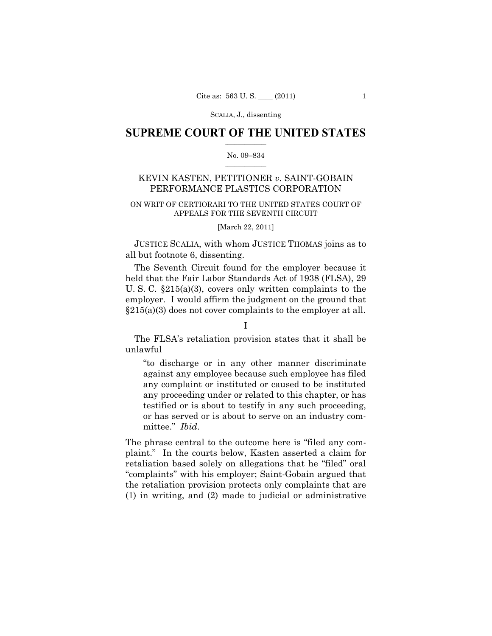## **SUPREME COURT OF THE UNITED STATES**  $\frac{1}{2}$  ,  $\frac{1}{2}$  ,  $\frac{1}{2}$  ,  $\frac{1}{2}$  ,  $\frac{1}{2}$  ,  $\frac{1}{2}$  ,  $\frac{1}{2}$

## No. 09–834  $\frac{1}{2}$  ,  $\frac{1}{2}$  ,  $\frac{1}{2}$  ,  $\frac{1}{2}$  ,  $\frac{1}{2}$  ,  $\frac{1}{2}$

# KEVIN KASTEN, PETITIONER *v.* SAINT-GOBAIN PERFORMANCE PLASTICS CORPORATION

## ON WRIT OF CERTIORARI TO THE UNITED STATES COURT OF APPEALS FOR THE SEVENTH CIRCUIT

## [March 22, 2011]

 JUSTICE SCALIA, with whom JUSTICE THOMAS joins as to all but footnote 6, dissenting.

 The Seventh Circuit found for the employer because it held that the Fair Labor Standards Act of 1938 (FLSA), 29 U. S. C. §215(a)(3), covers only written complaints to the employer. I would affirm the judgment on the ground that  $\S215(a)(3)$  does not cover complaints to the employer at all.

#### I

 The FLSA's retaliation provision states that it shall be unlawful

"to discharge or in any other manner discriminate against any employee because such employee has filed any complaint or instituted or caused to be instituted any proceeding under or related to this chapter, or has testified or is about to testify in any such proceeding, or has served or is about to serve on an industry committee." *Ibid*.

The phrase central to the outcome here is "filed any complaint." In the courts below, Kasten asserted a claim for retaliation based solely on allegations that he "filed" oral "complaints" with his employer; Saint-Gobain argued that the retaliation provision protects only complaints that are (1) in writing, and (2) made to judicial or administrative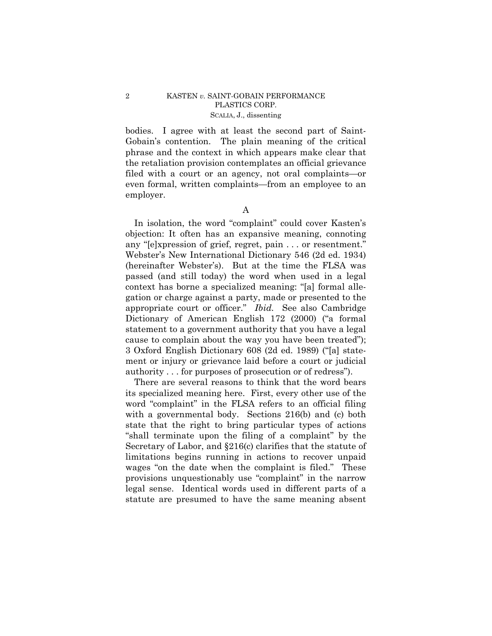bodies. I agree with at least the second part of Saint-Gobain's contention. The plain meaning of the critical phrase and the context in which appears make clear that the retaliation provision contemplates an official grievance filed with a court or an agency, not oral complaints—or even formal, written complaints—from an employee to an employer.

A

 In isolation, the word "complaint" could cover Kasten's objection: It often has an expansive meaning, connoting any "[e]xpression of grief, regret, pain . . . or resentment." Webster's New International Dictionary 546 (2d ed. 1934) (hereinafter Webster's). But at the time the FLSA was passed (and still today) the word when used in a legal context has borne a specialized meaning: "[a] formal allegation or charge against a party, made or presented to the appropriate court or officer." *Ibid.* See also Cambridge Dictionary of American English 172 (2000) ("a formal statement to a government authority that you have a legal cause to complain about the way you have been treated"); 3 Oxford English Dictionary 608 (2d ed. 1989) ("[a] statement or injury or grievance laid before a court or judicial authority . . . for purposes of prosecution or of redress").

 There are several reasons to think that the word bears its specialized meaning here. First, every other use of the word "complaint" in the FLSA refers to an official filing with a governmental body. Sections 216(b) and (c) both state that the right to bring particular types of actions "shall terminate upon the filing of a complaint" by the Secretary of Labor, and §216(c) clarifies that the statute of limitations begins running in actions to recover unpaid wages "on the date when the complaint is filed." These provisions unquestionably use "complaint" in the narrow legal sense. Identical words used in different parts of a statute are presumed to have the same meaning absent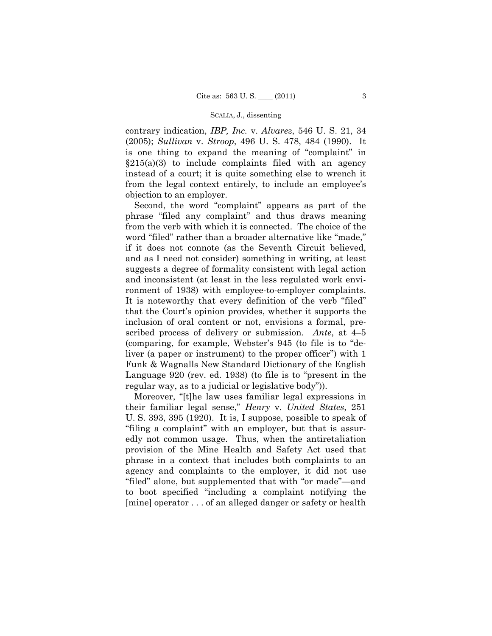contrary indication, *IBP, Inc.* v. *Alvarez*, 546 U. S. 21, 34 (2005); *Sullivan* v. *Stroop*, 496 U. S. 478, 484 (1990). It is one thing to expand the meaning of "complaint" in  $\S215(a)(3)$  to include complaints filed with an agency instead of a court; it is quite something else to wrench it from the legal context entirely, to include an employee's objection to an employer.

 Second, the word "complaint" appears as part of the phrase "filed any complaint" and thus draws meaning from the verb with which it is connected. The choice of the word "filed" rather than a broader alternative like "made," if it does not connote (as the Seventh Circuit believed, and as I need not consider) something in writing, at least suggests a degree of formality consistent with legal action and inconsistent (at least in the less regulated work environment of 1938) with employee-to-employer complaints. It is noteworthy that every definition of the verb "filed" that the Court's opinion provides, whether it supports the inclusion of oral content or not, envisions a formal, prescribed process of delivery or submission. *Ante*, at 4–5 (comparing, for example, Webster's 945 (to file is to "deliver (a paper or instrument) to the proper officer") with 1 Funk & Wagnalls New Standard Dictionary of the English Language 920 (rev. ed. 1938) (to file is to "present in the regular way, as to a judicial or legislative body")).

 Moreover, "[t]he law uses familiar legal expressions in their familiar legal sense," *Henry* v. *United States*, 251 U. S. 393, 395 (1920). It is, I suppose, possible to speak of "filing a complaint" with an employer, but that is assuredly not common usage. Thus, when the antiretaliation provision of the Mine Health and Safety Act used that phrase in a context that includes both complaints to an agency and complaints to the employer, it did not use "filed" alone, but supplemented that with "or made"—and to boot specified "including a complaint notifying the [mine] operator . . . of an alleged danger or safety or health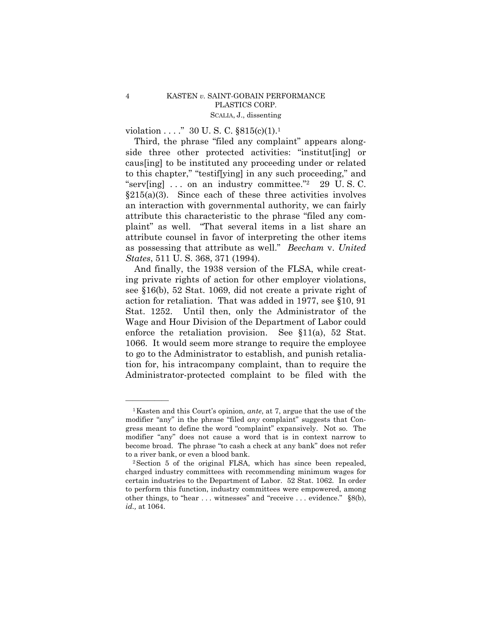violation . . . . " 30 U. S. C.  $\S 815(c)(1)$ .<sup>1</sup>

 Third, the phrase "filed any complaint" appears alongside three other protected activities: "institut[ing] or caus[ing] to be instituted any proceeding under or related to this chapter," "testif[ying] in any such proceeding," and "serv[ing]  $\ldots$  on an industry committee." 29 U.S.C.  $\S215(a)(3)$ . Since each of these three activities involves an interaction with governmental authority, we can fairly attribute this characteristic to the phrase "filed any complaint" as well. "That several items in a list share an attribute counsel in favor of interpreting the other items as possessing that attribute as well." *Beecham* v. *United States*, 511 U. S. 368, 371 (1994).

 And finally, the 1938 version of the FLSA, while creating private rights of action for other employer violations, see §16(b), 52 Stat. 1069, did not create a private right of action for retaliation. That was added in 1977, see §10, 91 Stat. 1252. Until then, only the Administrator of the Wage and Hour Division of the Department of Labor could enforce the retaliation provision. See §11(a), 52 Stat. 1066. It would seem more strange to require the employee to go to the Administrator to establish, and punish retaliation for, his intracompany complaint, than to require the Administrator-protected complaint to be filed with the

<sup>1</sup>Kasten and this Court's opinion, *ante*, at 7, argue that the use of the modifier "any" in the phrase "filed *any* complaint" suggests that Congress meant to define the word "complaint" expansively. Not so. The modifier "any" does not cause a word that is in context narrow to become broad. The phrase "to cash a check at any bank" does not refer to a river bank, or even a blood bank.<br><sup>2</sup>Section 5 of the original FLSA, which has since been repealed,

charged industry committees with recommending minimum wages for certain industries to the Department of Labor. 52 Stat. 1062. In order to perform this function, industry committees were empowered, among other things, to "hear . . . witnesses" and "receive . . . evidence." §8(b), *id.,* at 1064.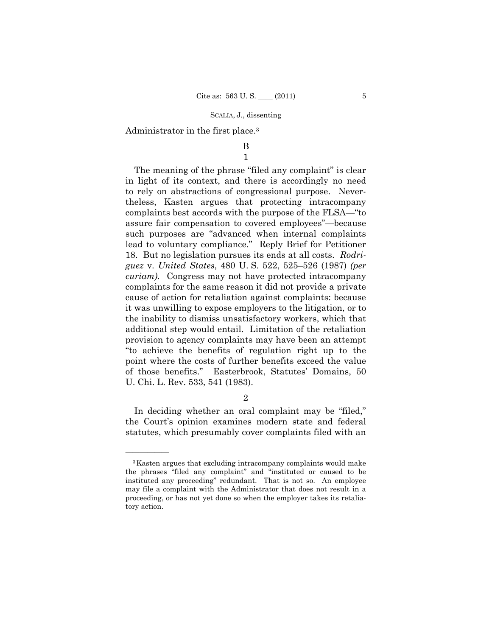Administrator in the first place.3

# B

# 1

 The meaning of the phrase "filed any complaint" is clear in light of its context, and there is accordingly no need to rely on abstractions of congressional purpose. Nevertheless, Kasten argues that protecting intracompany complaints best accords with the purpose of the FLSA—"to assure fair compensation to covered employees"—because such purposes are "advanced when internal complaints lead to voluntary compliance." Reply Brief for Petitioner 18. But no legislation pursues its ends at all costs. *Rodriguez* v. *United States*, 480 U. S. 522, 525–526 (1987) *(per curiam).* Congress may not have protected intracompany complaints for the same reason it did not provide a private cause of action for retaliation against complaints: because it was unwilling to expose employers to the litigation, or to the inability to dismiss unsatisfactory workers, which that additional step would entail. Limitation of the retaliation provision to agency complaints may have been an attempt "to achieve the benefits of regulation right up to the point where the costs of further benefits exceed the value of those benefits." Easterbrook, Statutes' Domains, 50 U. Chi. L. Rev. 533, 541 (1983).

2

 In deciding whether an oral complaint may be "filed," the Court's opinion examines modern state and federal statutes, which presumably cover complaints filed with an

<sup>3</sup>Kasten argues that excluding intracompany complaints would make the phrases "filed any complaint" and "instituted or caused to be instituted any proceeding" redundant. That is not so. An employee may file a complaint with the Administrator that does not result in a proceeding, or has not yet done so when the employer takes its retaliatory action.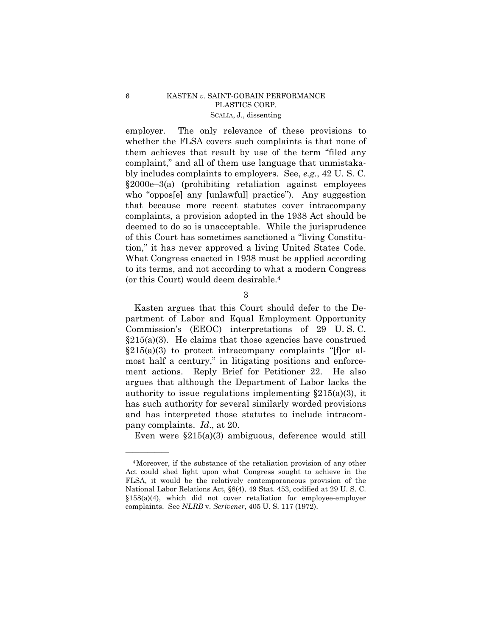employer. The only relevance of these provisions to whether the FLSA covers such complaints is that none of them achieves that result by use of the term "filed any complaint," and all of them use language that unmistakably includes complaints to employers. See, *e.g.*, 42 U. S. C. §2000e–3(a) (prohibiting retaliation against employees who "oppos[e] any [unlawful] practice"). Any suggestion that because more recent statutes cover intracompany complaints, a provision adopted in the 1938 Act should be deemed to do so is unacceptable. While the jurisprudence of this Court has sometimes sanctioned a "living Constitution," it has never approved a living United States Code. What Congress enacted in 1938 must be applied according to its terms, and not according to what a modern Congress (or this Court) would deem desirable.4

3

 Kasten argues that this Court should defer to the Department of Labor and Equal Employment Opportunity Commission's (EEOC) interpretations of 29 U. S. C.  $§215(a)(3)$ . He claims that those agencies have construed  $\S215(a)(3)$  to protect intracompany complaints "[f]or almost half a century," in litigating positions and enforcement actions. Reply Brief for Petitioner 22. He also argues that although the Department of Labor lacks the authority to issue regulations implementing §215(a)(3), it has such authority for several similarly worded provisions and has interpreted those statutes to include intracompany complaints. *Id*., at 20.

Even were §215(a)(3) ambiguous, deference would still

<sup>4</sup>Moreover, if the substance of the retaliation provision of any other Act could shed light upon what Congress sought to achieve in the FLSA, it would be the relatively contemporaneous provision of the National Labor Relations Act, §8(4), 49 Stat. 453, codified at 29 U. S. C. §158(a)(4), which did not cover retaliation for employee-employer complaints. See *NLRB* v. *Scrivener*, 405 U. S. 117 (1972).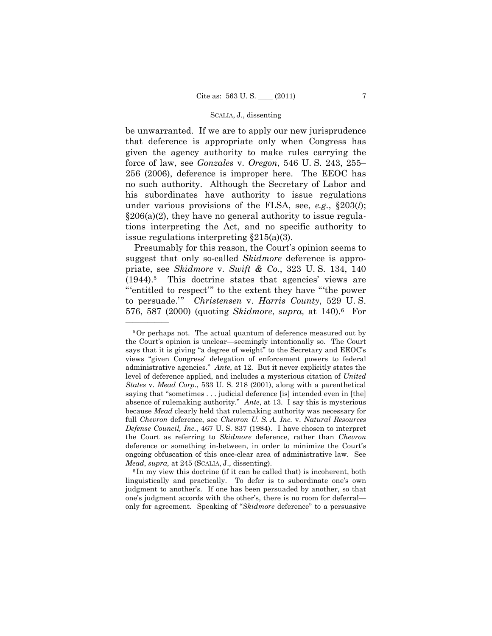be unwarranted. If we are to apply our new jurisprudence that deference is appropriate only when Congress has given the agency authority to make rules carrying the force of law, see *Gonzales* v. *Oregon*, 546 U. S. 243, 255– 256 (2006), deference is improper here. The EEOC has no such authority. Although the Secretary of Labor and his subordinates have authority to issue regulations under various provisions of the FLSA, see, *e.g.*, §203(*l*);  $\S 206(a)(2)$ , they have no general authority to issue regulations interpreting the Act, and no specific authority to issue regulations interpreting §215(a)(3).

 Presumably for this reason, the Court's opinion seems to suggest that only so-called *Skidmore* deference is appropriate, see *Skidmore* v. *Swift & Co.*, 323 U. S. 134, 140 (1944).5 This doctrine states that agencies' views are "'entitled to respect'" to the extent they have "'the power to persuade.'" *Christensen* v. *Harris County*, 529 U. S. 576, 587 (2000) (quoting *Skidmore*, *supra,* at 140).6 For

<sup>&</sup>lt;sup>5</sup>Or perhaps not. The actual quantum of deference measured out by the Court's opinion is unclear—seemingly intentionally so. The Court says that it is giving "a degree of weight" to the Secretary and EEOC's views "given Congress' delegation of enforcement powers to federal administrative agencies." *Ante*, at 12. But it never explicitly states the level of deference applied, and includes a mysterious citation of *United States* v. *Mead Corp*., 533 U. S. 218 (2001), along with a parenthetical saying that "sometimes . . . judicial deference [is] intended even in [the] absence of rulemaking authority." *Ante*, at 13. I say this is mysterious because *Mead* clearly held that rulemaking authority was necessary for full *Chevron* deference, see *Chevron U. S. A. Inc.* v. *Natural Resources Defense Council, Inc.*, 467 U. S. 837 (1984). I have chosen to interpret the Court as referring to *Skidmore* deference, rather than *Chevron*  deference or something in-between, in order to minimize the Court's ongoing obfuscation of this once-clear area of administrative law. See

*Mead*, *supra*, at 245 (SCALIA, J., dissenting).<br><sup>6</sup>In my view this doctrine (if it can be called that) is incoherent, both linguistically and practically. To defer is to subordinate one's own judgment to another's. If one has been persuaded by another, so that one's judgment accords with the other's, there is no room for deferral only for agreement. Speaking of "*Skidmore* deference" to a persuasive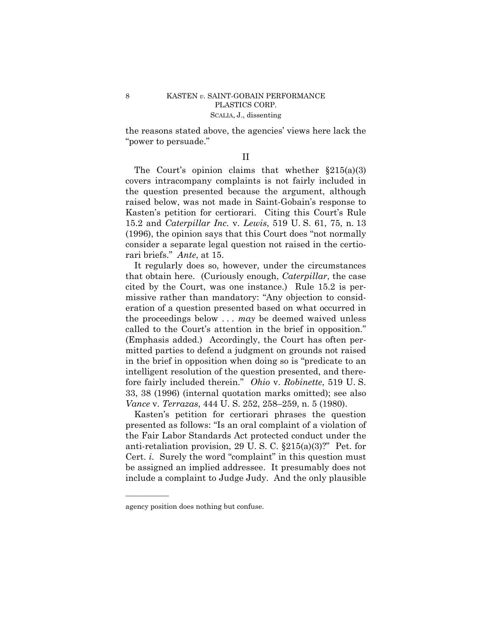the reasons stated above, the agencies' views here lack the "power to persuade."

## II

The Court's opinion claims that whether  $\S215(a)(3)$ covers intracompany complaints is not fairly included in the question presented because the argument, although raised below, was not made in Saint-Gobain's response to Kasten's petition for certiorari. Citing this Court's Rule 15.2 and *Caterpillar Inc.* v. *Lewis*, 519 U. S. 61, 75, n. 13 (1996), the opinion says that this Court does "not normally consider a separate legal question not raised in the certiorari briefs." *Ante*, at 15.

 It regularly does so, however, under the circumstances that obtain here. (Curiously enough, *Caterpillar*, the case cited by the Court, was one instance.) Rule 15.2 is permissive rather than mandatory: "Any objection to consideration of a question presented based on what occurred in the proceedings below . . . *may* be deemed waived unless called to the Court's attention in the brief in opposition." (Emphasis added.) Accordingly, the Court has often permitted parties to defend a judgment on grounds not raised in the brief in opposition when doing so is "predicate to an intelligent resolution of the question presented, and therefore fairly included therein." *Ohio* v. *Robinette*, 519 U. S. 33, 38 (1996) (internal quotation marks omitted); see also *Vance* v. *Terrazas*, 444 U. S. 252, 258–259, n. 5 (1980).

 Kasten's petition for certiorari phrases the question presented as follows: "Is an oral complaint of a violation of the Fair Labor Standards Act protected conduct under the anti-retaliation provision, 29 U. S. C. §215(a)(3)?" Pet. for Cert. *i*. Surely the word "complaint" in this question must be assigned an implied addressee. It presumably does not include a complaint to Judge Judy. And the only plausible

agency position does nothing but confuse.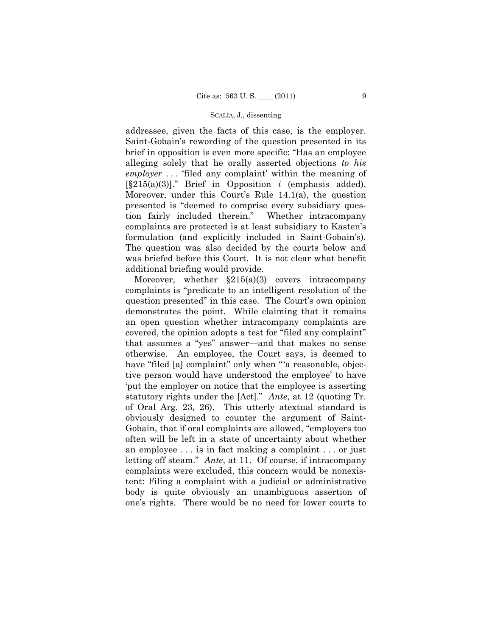addressee, given the facts of this case, is the employer. Saint-Gobain's rewording of the question presented in its brief in opposition is even more specific: "Has an employee alleging solely that he orally asserted objections *to his employer* . . . 'filed any complaint' within the meaning of [§215(a)(3)]." Brief in Opposition *i* (emphasis added). Moreover, under this Court's Rule 14.1(a), the question presented is "deemed to comprise every subsidiary question fairly included therein." Whether intracompany complaints are protected is at least subsidiary to Kasten's formulation (and explicitly included in Saint-Gobain's). The question was also decided by the courts below and was briefed before this Court. It is not clear what benefit additional briefing would provide.

Moreover, whether  $\S215(a)(3)$  covers intracompany complaints is "predicate to an intelligent resolution of the question presented" in this case. The Court's own opinion demonstrates the point. While claiming that it remains an open question whether intracompany complaints are covered, the opinion adopts a test for "filed any complaint" that assumes a "yes" answer—and that makes no sense otherwise. An employee, the Court says, is deemed to have "filed [a] complaint" only when "'a reasonable, objective person would have understood the employee' to have 'put the employer on notice that the employee is asserting statutory rights under the [Act]." *Ante*, at 12 (quoting Tr. of Oral Arg. 23, 26). This utterly atextual standard is obviously designed to counter the argument of Saint-Gobain, that if oral complaints are allowed, "employers too often will be left in a state of uncertainty about whether an employee . . . is in fact making a complaint . . . or just letting off steam." *Ante*, at 11. Of course, if intracompany complaints were excluded, this concern would be nonexistent: Filing a complaint with a judicial or administrative body is quite obviously an unambiguous assertion of one's rights. There would be no need for lower courts to